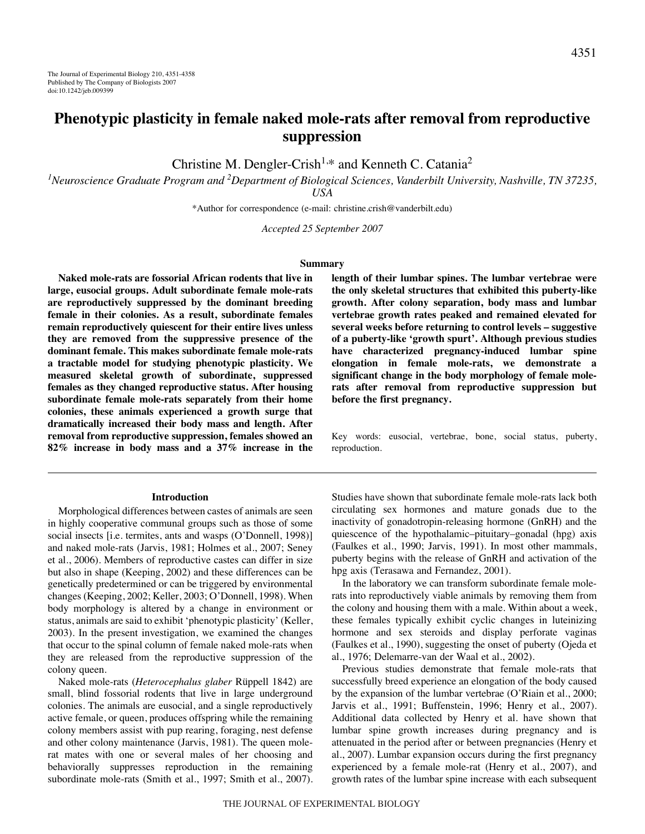# **Phenotypic plasticity in female naked mole-rats after removal from reproductive suppression**

Christine M. Dengler-Crish<sup>1,\*</sup> and Kenneth C. Catania<sup>2</sup>

*1 Neuroscience Graduate Program and 2 Department of Biological Sciences, Vanderbilt University, Nashville, TN 37235, USA*

\*Author for correspondence (e-mail: christine.crish@vanderbilt.edu)

*Accepted 25 September 2007*

#### **Summary**

**Naked mole-rats are fossorial African rodents that live in large, eusocial groups. Adult subordinate female mole-rats are reproductively suppressed by the dominant breeding female in their colonies. As a result, subordinate females remain reproductively quiescent for their entire lives unless they are removed from the suppressive presence of the dominant female. This makes subordinate female mole-rats a tractable model for studying phenotypic plasticity. We measured skeletal growth of subordinate, suppressed females as they changed reproductive status. After housing subordinate female mole-rats separately from their home colonies, these animals experienced a growth surge that dramatically increased their body mass and length. After removal from reproductive suppression, females showed an 82% increase in body mass and a 37% increase in the**

#### **Introduction**

Morphological differences between castes of animals are seen in highly cooperative communal groups such as those of some social insects [i.e. termites, ants and wasps (O'Donnell, 1998)] and naked mole-rats (Jarvis, 1981; Holmes et al., 2007; Seney et al., 2006). Members of reproductive castes can differ in size but also in shape (Keeping, 2002) and these differences can be genetically predetermined or can be triggered by environmental changes (Keeping, 2002; Keller, 2003; O'Donnell, 1998). When body morphology is altered by a change in environment or status, animals are said to exhibit 'phenotypic plasticity' (Keller, 2003). In the present investigation, we examined the changes that occur to the spinal column of female naked mole-rats when they are released from the reproductive suppression of the colony queen.

Naked mole-rats (*Heterocephalus glaber* Rüppell 1842) are small, blind fossorial rodents that live in large underground colonies. The animals are eusocial, and a single reproductively active female, or queen, produces offspring while the remaining colony members assist with pup rearing, foraging, nest defense and other colony maintenance (Jarvis, 1981). The queen molerat mates with one or several males of her choosing and behaviorally suppresses reproduction in the remaining subordinate mole-rats (Smith et al., 1997; Smith et al., 2007). **length of their lumbar spines. The lumbar vertebrae were the only skeletal structures that exhibited this puberty-like growth. After colony separation, body mass and lumbar vertebrae growth rates peaked and remained elevated for several weeks before returning to control levels – suggestive of a puberty-like 'growth spurt'. Although previous studies have characterized pregnancy-induced lumbar spine elongation in female mole-rats, we demonstrate a significant change in the body morphology of female molerats after removal from reproductive suppression but before the first pregnancy.**

Key words: eusocial, vertebrae, bone, social status, puberty, reproduction.

Studies have shown that subordinate female mole-rats lack both circulating sex hormones and mature gonads due to the inactivity of gonadotropin-releasing hormone (GnRH) and the quiescence of the hypothalamic–pituitary–gonadal (hpg) axis (Faulkes et al., 1990; Jarvis, 1991). In most other mammals, puberty begins with the release of GnRH and activation of the hpg axis (Terasawa and Fernandez, 2001).

In the laboratory we can transform subordinate female molerats into reproductively viable animals by removing them from the colony and housing them with a male. Within about a week, these females typically exhibit cyclic changes in luteinizing hormone and sex steroids and display perforate vaginas (Faulkes et al., 1990), suggesting the onset of puberty (Ojeda et al., 1976; Delemarre-van der Waal et al., 2002).

Previous studies demonstrate that female mole-rats that successfully breed experience an elongation of the body caused by the expansion of the lumbar vertebrae (O'Riain et al., 2000; Jarvis et al., 1991; Buffenstein, 1996; Henry et al., 2007). Additional data collected by Henry et al. have shown that lumbar spine growth increases during pregnancy and is attenuated in the period after or between pregnancies (Henry et al., 2007). Lumbar expansion occurs during the first pregnancy experienced by a female mole-rat (Henry et al., 2007), and growth rates of the lumbar spine increase with each subsequent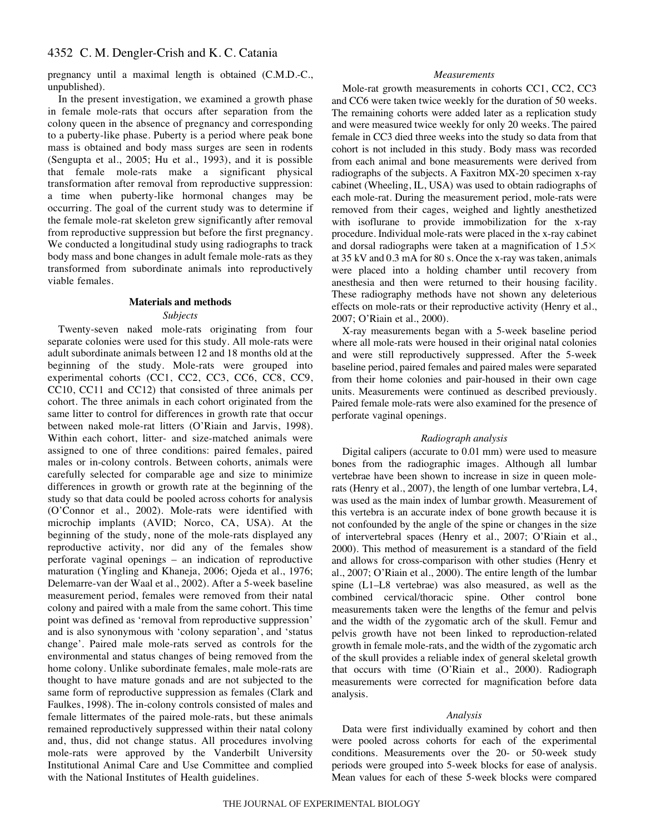pregnancy until a maximal length is obtained (C.M.D.-C., unpublished).

In the present investigation, we examined a growth phase in female mole-rats that occurs after separation from the colony queen in the absence of pregnancy and corresponding to a puberty-like phase. Puberty is a period where peak bone mass is obtained and body mass surges are seen in rodents (Sengupta et al., 2005; Hu et al., 1993), and it is possible that female mole-rats make a significant physical transformation after removal from reproductive suppression: a time when puberty-like hormonal changes may be occurring. The goal of the current study was to determine if the female mole-rat skeleton grew significantly after removal from reproductive suppression but before the first pregnancy. We conducted a longitudinal study using radiographs to track body mass and bone changes in adult female mole-rats as they transformed from subordinate animals into reproductively viable females.

# **Materials and methods**

# *Subjects*

Twenty-seven naked mole-rats originating from four separate colonies were used for this study. All mole-rats were adult subordinate animals between 12 and 18 months old at the beginning of the study. Mole-rats were grouped into experimental cohorts (CC1, CC2, CC3, CC6, CC8, CC9, CC10, CC11 and CC12) that consisted of three animals per cohort. The three animals in each cohort originated from the same litter to control for differences in growth rate that occur between naked mole-rat litters (O'Riain and Jarvis, 1998). Within each cohort, litter- and size-matched animals were assigned to one of three conditions: paired females, paired males or in-colony controls. Between cohorts, animals were carefully selected for comparable age and size to minimize differences in growth or growth rate at the beginning of the study so that data could be pooled across cohorts for analysis (O'Connor et al., 2002). Mole-rats were identified with microchip implants (AVID; Norco, CA, USA). At the beginning of the study, none of the mole-rats displayed any reproductive activity, nor did any of the females show perforate vaginal openings – an indication of reproductive maturation (Yingling and Khaneja, 2006; Ojeda et al., 1976; Delemarre-van der Waal et al., 2002). After a 5-week baseline measurement period, females were removed from their natal colony and paired with a male from the same cohort. This time point was defined as 'removal from reproductive suppression' and is also synonymous with 'colony separation', and 'status change'. Paired male mole-rats served as controls for the environmental and status changes of being removed from the home colony. Unlike subordinate females, male mole-rats are thought to have mature gonads and are not subjected to the same form of reproductive suppression as females (Clark and Faulkes, 1998). The in-colony controls consisted of males and female littermates of the paired mole-rats, but these animals remained reproductively suppressed within their natal colony and, thus, did not change status. All procedures involving mole-rats were approved by the Vanderbilt University Institutional Animal Care and Use Committee and complied with the National Institutes of Health guidelines.

# *Measurements*

Mole-rat growth measurements in cohorts CC1, CC2, CC3 and CC6 were taken twice weekly for the duration of 50 weeks. The remaining cohorts were added later as a replication study and were measured twice weekly for only 20 weeks. The paired female in CC3 died three weeks into the study so data from that cohort is not included in this study. Body mass was recorded from each animal and bone measurements were derived from radiographs of the subjects. A Faxitron MX-20 specimen x-ray cabinet (Wheeling, IL, USA) was used to obtain radiographs of each mole-rat. During the measurement period, mole-rats were removed from their cages, weighed and lightly anesthetized with isoflurane to provide immobilization for the x-ray procedure. Individual mole-rats were placed in the x-ray cabinet and dorsal radiographs were taken at a magnification of  $1.5\times$ at  $35~kV$  and  $0.3~mA$  for  $80~s$ . Once the x-ray was taken, animals were placed into a holding chamber until recovery from anesthesia and then were returned to their housing facility. These radiography methods have not shown any deleterious effects on mole-rats or their reproductive activity (Henry et al., 2007; O'Riain et al., 2000).

X-ray measurements began with a 5-week baseline period where all mole-rats were housed in their original natal colonies and were still reproductively suppressed. After the 5-week baseline period, paired females and paired males were separated from their home colonies and pair-housed in their own cage units. Measurements were continued as described previously. Paired female mole-rats were also examined for the presence of perforate vaginal openings.

# *Radiograph analysis*

Digital calipers (accurate to 0.01 mm) were used to measure bones from the radiographic images. Although all lumbar vertebrae have been shown to increase in size in queen molerats (Henry et al., 2007), the length of one lumbar vertebra, L4, was used as the main index of lumbar growth. Measurement of this vertebra is an accurate index of bone growth because it is not confounded by the angle of the spine or changes in the size of intervertebral spaces (Henry et al., 2007; O'Riain et al., 2000). This method of measurement is a standard of the field and allows for cross-comparison with other studies (Henry et al., 2007; O'Riain et al., 2000). The entire length of the lumbar spine (L1–L8 vertebrae) was also measured, as well as the combined cervical/thoracic spine. Other control bone measurements taken were the lengths of the femur and pelvis and the width of the zygomatic arch of the skull. Femur and pelvis growth have not been linked to reproduction-related growth in female mole-rats, and the width of the zygomatic arch of the skull provides a reliable index of general skeletal growth that occurs with time (O'Riain et al., 2000). Radiograph measurements were corrected for magnification before data analysis.

# *Analysis*

Data were first individually examined by cohort and then were pooled across cohorts for each of the experimental conditions. Measurements over the 20- or 50-week study periods were grouped into 5-week blocks for ease of analysis. Mean values for each of these 5-week blocks were compared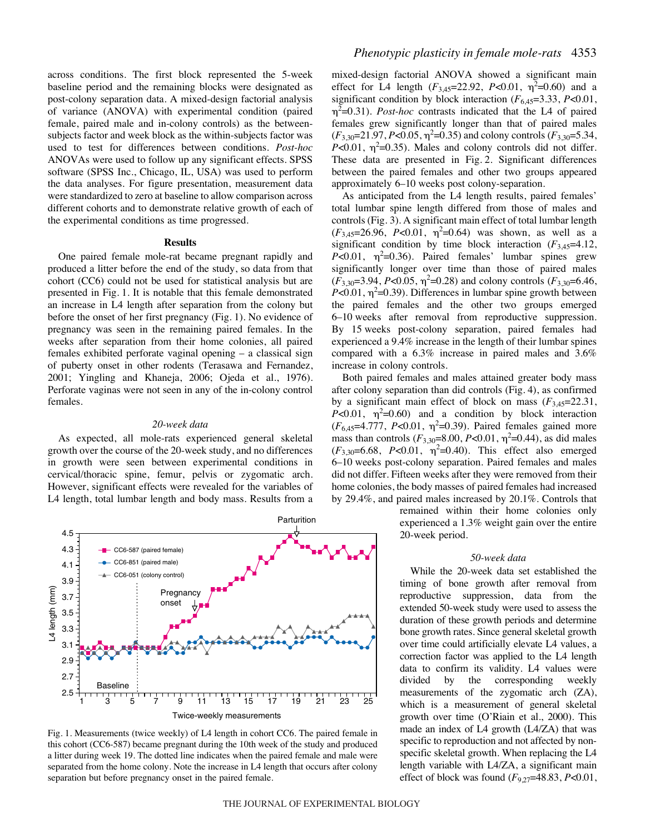across conditions. The first block represented the 5-week baseline period and the remaining blocks were designated as post-colony separation data. A mixed-design factorial analysis of variance (ANOVA) with experimental condition (paired female, paired male and in-colony controls) as the betweensubjects factor and week block as the within-subjects factor was used to test for differences between conditions. *Post-hoc* ANOVAs were used to follow up any significant effects. SPSS software (SPSS Inc., Chicago, IL, USA) was used to perform the data analyses. For figure presentation, measurement data were standardized to zero at baseline to allow comparison across different cohorts and to demonstrate relative growth of each of the experimental conditions as time progressed.

### **Results**

One paired female mole-rat became pregnant rapidly and produced a litter before the end of the study, so data from that cohort (CC6) could not be used for statistical analysis but are presented in Fig. 1. It is notable that this female demonstrated an increase in L4 length after separation from the colony but before the onset of her first pregnancy (Fig. 1). No evidence of pregnancy was seen in the remaining paired females. In the weeks after separation from their home colonies, all paired females exhibited perforate vaginal opening – a classical sign of puberty onset in other rodents (Terasawa and Fernandez, 2001; Yingling and Khaneja, 2006; Ojeda et al., 1976). Perforate vaginas were not seen in any of the in-colony control females.

#### *20-week data*

As expected, all mole-rats experienced general skeletal growth over the course of the 20-week study, and no differences in growth were seen between experimental conditions in cervical/thoracic spine, femur, pelvis or zygomatic arch. However, significant effects were revealed for the variables of L4 length, total lumbar length and body mass. Results from a



Fig. 1. Measurements (twice weekly) of L4 length in cohort CC6. The paired female in this cohort (CC6-587) became pregnant during the 10th week of the study and produced a litter during week 19. The dotted line indicates when the paired female and male were separated from the home colony. Note the increase in L4 length that occurs after colony separation but before pregnancy onset in the paired female.

mixed-design factorial ANOVA showed a significant main effect for L4 length  $(F_{3,45}=22.92, P<0.01, \eta^2=0.60)$  and a significant condition by block interaction  $(F_{6,45}=3.33, P<0.01,$  $\eta^2$ =0.31). *Post-hoc* contrasts indicated that the L4 of paired females grew significantly longer than that of paired males  $(F_{3,30}=21.97, P<0.05, \eta^2=0.35)$  and colony controls  $(F_{3,30}=5.34,$  $P<0.01$ ,  $\eta^2=0.35$ ). Males and colony controls did not differ. These data are presented in Fig. 2. Significant differences between the paired females and other two groups appeared approximately 6–10 weeks post colony-separation.

As anticipated from the L4 length results, paired females' total lumbar spine length differed from those of males and controls (Fig. 3). A significant main effect of total lumbar length  $(F_{3,45}=26.96, P<0.01, \eta^2=0.64)$  was shown, as well as a significant condition by time block interaction  $(F_{3,45}=4.12)$ ,  $P<0.01$ ,  $\eta^2=0.36$ ). Paired females' lumbar spines grew significantly longer over time than those of paired males  $(F_{3,30}=3.94, P<0.05, \eta^2=0.28)$  and colony controls  $(F_{3,30}=6.46,$  $P<0.01$ ,  $\eta^2$ =0.39). Differences in lumbar spine growth between the paired females and the other two groups emerged 6–10 weeks after removal from reproductive suppression. By 15 weeks post-colony separation, paired females had experienced a 9.4% increase in the length of their lumbar spines compared with a 6.3% increase in paired males and 3.6% increase in colony controls.

Both paired females and males attained greater body mass after colony separation than did controls (Fig. 4), as confirmed by a significant main effect of block on mass  $(F_{3,45}=22.31,$ *P*<0.01,  $\eta^2$ =0.60) and a condition by block interaction  $(F_{6,45} = 4.777, P < 0.01, \eta^2 = 0.39)$ . Paired females gained more mass than controls  $(F_{3,30}=8.00, P<0.01, \eta^2=0.44)$ , as did males  $(F_{3,30} = 6.68, P < 0.01, \eta^2 = 0.40)$ . This effect also emerged 6–10 weeks post-colony separation. Paired females and males did not differ. Fifteen weeks after they were removed from their home colonies, the body masses of paired females had increased by 29.4%, and paired males increased by 20.1%. Controls that

> remained within their home colonies only experienced a 1.3% weight gain over the entire 20-week period.

#### *50-week data*

While the 20-week data set established the timing of bone growth after removal from reproductive suppression, data from the extended 50-week study were used to assess the duration of these growth periods and determine bone growth rates. Since general skeletal growth over time could artificially elevate L4 values, a correction factor was applied to the L4 length data to confirm its validity. L4 values were divided by the corresponding weekly measurements of the zygomatic arch (ZA), which is a measurement of general skeletal growth over time (O'Riain et al., 2000). This made an index of L4 growth (L4/ZA) that was specific to reproduction and not affected by nonspecific skeletal growth. When replacing the L4 length variable with L4/ZA, a significant main effect of block was found (*F*9,27=48.83, *P*<0.01,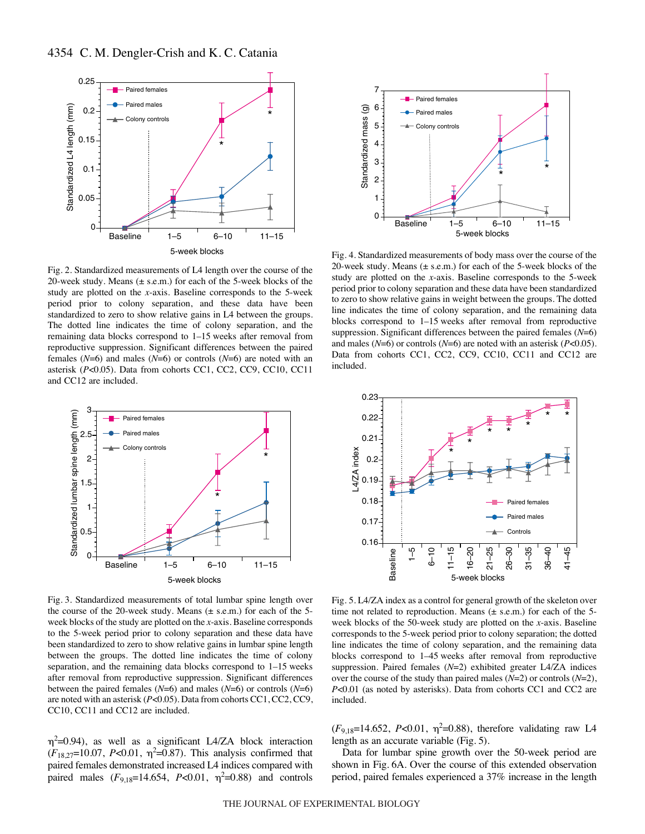

Fig. 2. Standardized measurements of L4 length over the course of the 20-week study. Means  $(\pm s.e.m.)$  for each of the 5-week blocks of the study are plotted on the *x*-axis. Baseline corresponds to the 5-week period prior to colony separation, and these data have been standardized to zero to show relative gains in L4 between the groups. The dotted line indicates the time of colony separation, and the remaining data blocks correspond to 1-15 weeks after removal from reproductive suppression. Significant differences between the paired females (*N*=6) and males (*N*=6) or controls (*N*=6) are noted with an asterisk (*P*<0.05). Data from cohorts CC1, CC2, CC9, CC10, CC11 and CC12 are included.



Fig. 3. Standardized measurements of total lumbar spine length over the course of the 20-week study. Means  $(\pm s.e.m.)$  for each of the 5week blocks of the study are plotted on the *x*-axis. Baseline corresponds to the 5-week period prior to colony separation and these data have been standardized to zero to show relative gains in lumbar spine length between the groups. The dotted line indicates the time of colony separation, and the remaining data blocks correspond to  $1-15$  weeks after removal from reproductive suppression. Significant differences between the paired females (*N*=6) and males (*N*=6) or controls (*N*=6) are noted with an asterisk (*P*<0.05). Data from cohorts CC1, CC2, CC9, CC10, CC11 and CC12 are included.

 $\eta^2$ =0.94), as well as a significant L4/ZA block interaction  $(F_{18,27} = 10.07, P < 0.01, \eta^2 = 0.87)$ . This analysis confirmed that paired females demonstrated increased L4 indices compared with paired males  $(F_{9,18}=14.654, P<0.01, \eta^2=0.88)$  and controls



Fig. 4. Standardized measurements of body mass over the course of the 20-week study. Means  $(\pm s.e.m.)$  for each of the 5-week blocks of the study are plotted on the *x*-axis. Baseline corresponds to the 5-week period prior to colony separation and these data have been standardized to zero to show relative gains in weight between the groups. The dotted line indicates the time of colony separation, and the remaining data blocks correspond to  $1-15$  weeks after removal from reproductive suppression. Significant differences between the paired females (*N*=6) and males (*N*=6) or controls (*N*=6) are noted with an asterisk (*P*<0.05). Data from cohorts CC1, CC2, CC9, CC10, CC11 and CC12 are included.



Fig. 5. L4/ZA index as a control for general growth of the skeleton over time not related to reproduction. Means  $(\pm s.e.m.)$  for each of the 5week blocks of the 50-week study are plotted on the *x*-axis. Baseline corresponds to the 5-week period prior to colony separation; the dotted line indicates the time of colony separation, and the remaining data blocks correspond to 1–45 weeks after removal from reproductive suppression. Paired females (*N*=2) exhibited greater L4/ZA indices over the course of the study than paired males (*N*=2) or controls (*N*=2), *P*<0.01 (as noted by asterisks). Data from cohorts CC1 and CC2 are included.

 $(F_{9,18}=14.652, P<0.01, \eta^2=0.88)$ , therefore validating raw L4 length as an accurate variable (Fig. 5).

Data for lumbar spine growth over the 50-week period are shown in Fig. 6A. Over the course of this extended observation period, paired females experienced a 37% increase in the length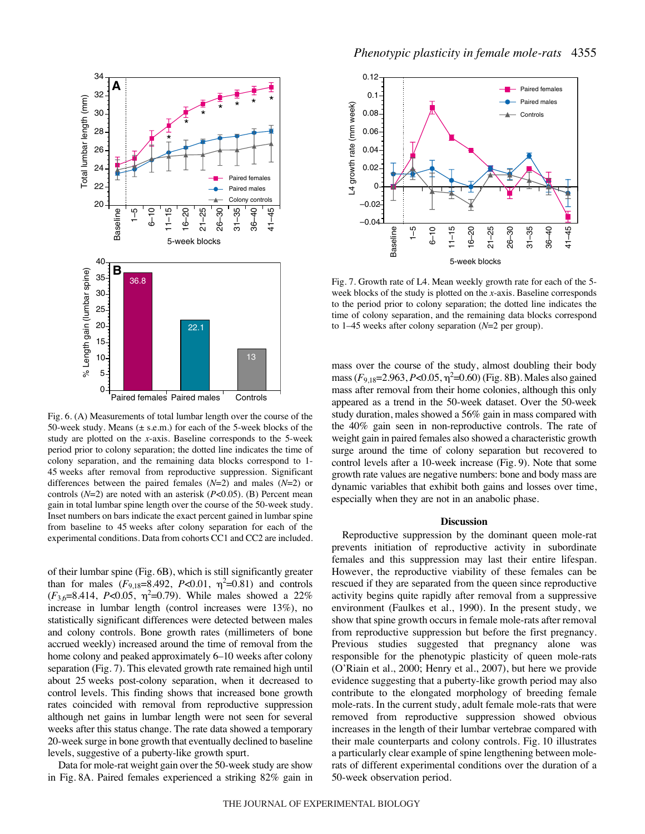

Fig. 6. (A) Measurements of total lumbar length over the course of the 50-week study. Means  $(\pm s.e.m.)$  for each of the 5-week blocks of the study are plotted on the *x*-axis. Baseline corresponds to the 5-week period prior to colony separation; the dotted line indicates the time of colony separation, and the remaining data blocks correspond to 1- 45 weeks after removal from reproductive suppression. Significant differences between the paired females (*N*=2) and males (*N*=2) or controls (*N*=2) are noted with an asterisk (*P*<0.05). (B) Percent mean gain in total lumbar spine length over the course of the 50-week study. Inset numbers on bars indicate the exact percent gained in lumbar spine from baseline to 45 weeks after colony separation for each of the experimental conditions. Data from cohorts CC1 and CC2 are included.

of their lumbar spine (Fig. 6B), which is still significantly greater than for males  $(F_{9,18}=8.492, P<0.01, \eta^2=0.81)$  and controls  $(F_{3,6}=8.414, P<0.05, \eta^2=0.79)$ . While males showed a 22% increase in lumbar length (control increases were 13%), no statistically significant differences were detected between males and colony controls. Bone growth rates (millimeters of bone accrued weekly) increased around the time of removal from the home colony and peaked approximately 6–10 weeks after colony separation (Fig. 7). This elevated growth rate remained high until about 25 weeks post-colony separation, when it decreased to control levels. This finding shows that increased bone growth rates coincided with removal from reproductive suppression although net gains in lumbar length were not seen for several weeks after this status change. The rate data showed a temporary 20-week surge in bone growth that eventually declined to baseline levels, suggestive of a puberty-like growth spurt.

Data for mole-rat weight gain over the 50-week study are show in Fig. 8A. Paired females experienced a striking 82% gain in



Fig. 7. Growth rate of L4. Mean weekly growth rate for each of the 5week blocks of the study is plotted on the *x*-axis. Baseline corresponds to the period prior to colony separation; the dotted line indicates the time of colony separation, and the remaining data blocks correspond to 1–45 weeks after colony separation ( $N=2$  per group).

mass over the course of the study, almost doubling their body mass  $(F_{9,18} = 2.963, P < 0.05, \eta^2 = 0.60)$  (Fig. 8B). Males also gained mass after removal from their home colonies, although this only appeared as a trend in the 50-week dataset. Over the 50-week study duration, males showed a 56% gain in mass compared with the 40% gain seen in non-reproductive controls. The rate of weight gain in paired females also showed a characteristic growth surge around the time of colony separation but recovered to control levels after a 10-week increase (Fig. 9). Note that some growth rate values are negative numbers: bone and body mass are dynamic variables that exhibit both gains and losses over time, especially when they are not in an anabolic phase.

#### **Discussion**

Reproductive suppression by the dominant queen mole-rat prevents initiation of reproductive activity in subordinate females and this suppression may last their entire lifespan. However, the reproductive viability of these females can be rescued if they are separated from the queen since reproductive activity begins quite rapidly after removal from a suppressive environment (Faulkes et al., 1990). In the present study, we show that spine growth occurs in female mole-rats after removal from reproductive suppression but before the first pregnancy. Previous studies suggested that pregnancy alone was responsible for the phenotypic plasticity of queen mole-rats (O'Riain et al., 2000; Henry et al., 2007), but here we provide evidence suggesting that a puberty-like growth period may also contribute to the elongated morphology of breeding female mole-rats. In the current study, adult female mole-rats that were removed from reproductive suppression showed obvious increases in the length of their lumbar vertebrae compared with their male counterparts and colony controls. Fig. 10 illustrates a particularly clear example of spine lengthening between molerats of different experimental conditions over the duration of a 50-week observation period.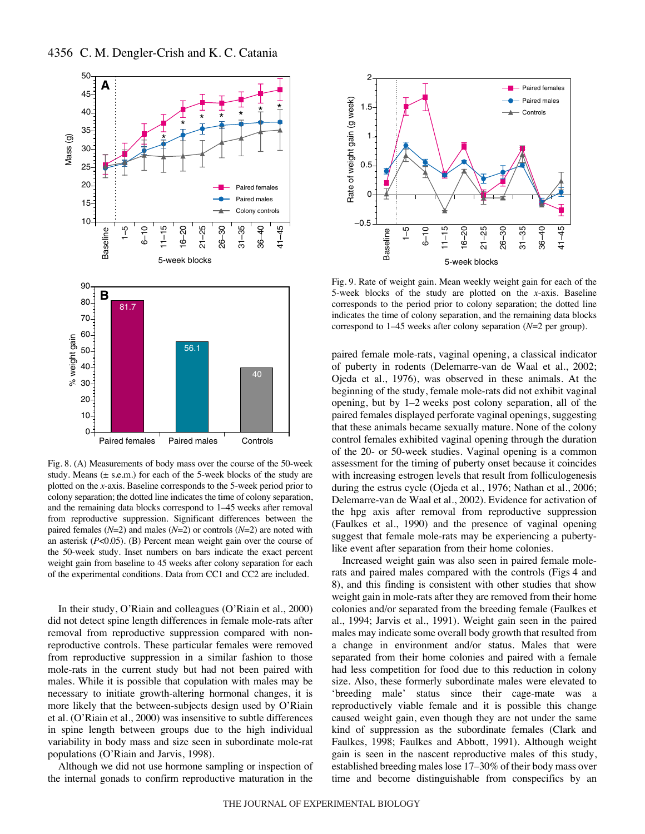

Fig. 8. (A) Measurements of body mass over the course of the 50-week study. Means  $(\pm s.e.m.)$  for each of the 5-week blocks of the study are plotted on the *x*-axis. Baseline corresponds to the 5-week period prior to colony separation; the dotted line indicates the time of colony separation, and the remaining data blocks correspond to 1-45 weeks after removal from reproductive suppression. Significant differences between the paired females (*N*=2) and males (*N*=2) or controls (*N*=2) are noted with an asterisk (*P*<0.05). (B) Percent mean weight gain over the course of the 50-week study. Inset numbers on bars indicate the exact percent weight gain from baseline to 45 weeks after colony separation for each of the experimental conditions. Data from CC1 and CC2 are included.

In their study, O'Riain and colleagues (O'Riain et al., 2000) did not detect spine length differences in female mole-rats after removal from reproductive suppression compared with nonreproductive controls. These particular females were removed from reproductive suppression in a similar fashion to those mole-rats in the current study but had not been paired with males. While it is possible that copulation with males may be necessary to initiate growth-altering hormonal changes, it is more likely that the between-subjects design used by O'Riain et al. (O'Riain et al., 2000) was insensitive to subtle differences in spine length between groups due to the high individual variability in body mass and size seen in subordinate mole-rat populations (O'Riain and Jarvis, 1998).

Although we did not use hormone sampling or inspection of the internal gonads to confirm reproductive maturation in the



Fig. 9. Rate of weight gain. Mean weekly weight gain for each of the 5-week blocks of the study are plotted on the *x*-axis. Baseline corresponds to the period prior to colony separation; the dotted line indicates the time of colony separation, and the remaining data blocks correspond to 1–45 weeks after colony separation ( $N=2$  per group).

paired female mole-rats, vaginal opening, a classical indicator of puberty in rodents (Delemarre-van de Waal et al., 2002; Ojeda et al., 1976), was observed in these animals. At the beginning of the study, female mole-rats did not exhibit vaginal opening, but by  $1-2$  weeks post colony separation, all of the paired females displayed perforate vaginal openings, suggesting that these animals became sexually mature. None of the colony control females exhibited vaginal opening through the duration of the 20- or 50-week studies. Vaginal opening is a common assessment for the timing of puberty onset because it coincides with increasing estrogen levels that result from folliculogenesis during the estrus cycle (Ojeda et al., 1976; Nathan et al., 2006; Delemarre-van de Waal et al., 2002). Evidence for activation of the hpg axis after removal from reproductive suppression (Faulkes et al., 1990) and the presence of vaginal opening suggest that female mole-rats may be experiencing a pubertylike event after separation from their home colonies.

Increased weight gain was also seen in paired female molerats and paired males compared with the controls (Figs 4 and 8), and this finding is consistent with other studies that show weight gain in mole-rats after they are removed from their home colonies and/or separated from the breeding female (Faulkes et al., 1994; Jarvis et al., 1991). Weight gain seen in the paired males may indicate some overall body growth that resulted from a change in environment and/or status. Males that were separated from their home colonies and paired with a female had less competition for food due to this reduction in colony size. Also, these formerly subordinate males were elevated to 'breeding male' status since their cage-mate was a reproductively viable female and it is possible this change caused weight gain, even though they are not under the same kind of suppression as the subordinate females (Clark and Faulkes, 1998; Faulkes and Abbott, 1991). Although weight gain is seen in the nascent reproductive males of this study, established breeding males lose 17–30% of their body mass over time and become distinguishable from conspecifics by an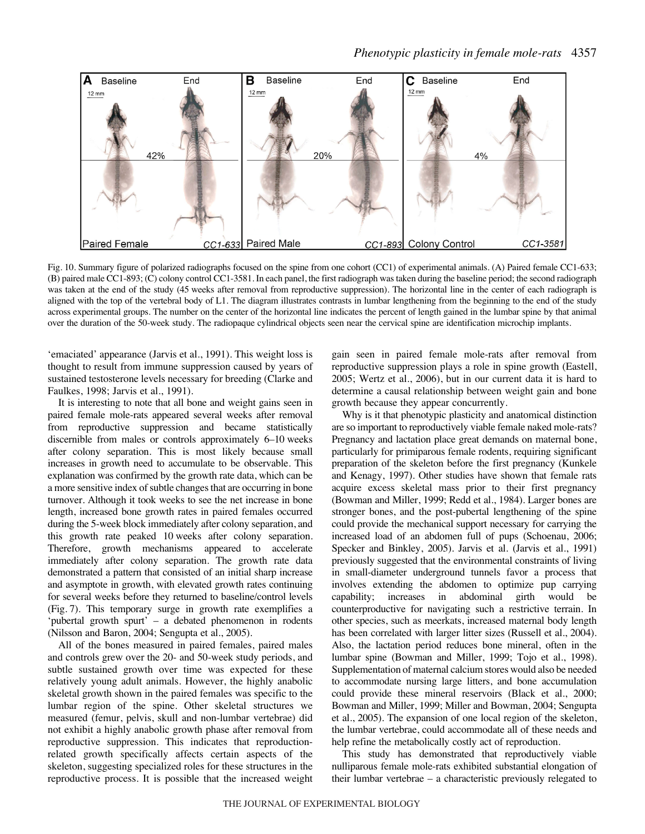

Fig. 10. Summary figure of polarized radiographs focused on the spine from one cohort (CC1) of experimental animals. (A) Paired female CC1-633; (B) paired male CC1-893; (C) colony control CC1-3581. In each panel, the first radiograph was taken during the baseline period; the second radiograph was taken at the end of the study (45 weeks after removal from reproductive suppression). The horizontal line in the center of each radiograph is aligned with the top of the vertebral body of L1. The diagram illustrates contrasts in lumbar lengthening from the beginning to the end of the study across experimental groups. The number on the center of the horizontal line indicates the percent of length gained in the lumbar spine by that animal over the duration of the 50-week study. The radiopaque cylindrical objects seen near the cervical spine are identification microchip implants.

'emaciated' appearance (Jarvis et al., 1991). This weight loss is thought to result from immune suppression caused by years of sustained testosterone levels necessary for breeding (Clarke and Faulkes, 1998; Jarvis et al., 1991).

It is interesting to note that all bone and weight gains seen in paired female mole-rats appeared several weeks after removal from reproductive suppression and became statistically discernible from males or controls approximately 6-10 weeks after colony separation. This is most likely because small increases in growth need to accumulate to be observable. This explanation was confirmed by the growth rate data, which can be a more sensitive index of subtle changes that are occurring in bone turnover. Although it took weeks to see the net increase in bone length, increased bone growth rates in paired females occurred during the 5-week block immediately after colony separation, and this growth rate peaked 10 weeks after colony separation. Therefore, growth mechanisms appeared to accelerate immediately after colony separation. The growth rate data demonstrated a pattern that consisted of an initial sharp increase and asymptote in growth, with elevated growth rates continuing for several weeks before they returned to baseline/control levels (Fig. 7). This temporary surge in growth rate exemplifies a 'pubertal growth spurt' – a debated phenomenon in rodents (Nilsson and Baron, 2004; Sengupta et al., 2005).

All of the bones measured in paired females, paired males and controls grew over the 20- and 50-week study periods, and subtle sustained growth over time was expected for these relatively young adult animals. However, the highly anabolic skeletal growth shown in the paired females was specific to the lumbar region of the spine. Other skeletal structures we measured (femur, pelvis, skull and non-lumbar vertebrae) did not exhibit a highly anabolic growth phase after removal from reproductive suppression. This indicates that reproductionrelated growth specifically affects certain aspects of the skeleton, suggesting specialized roles for these structures in the reproductive process. It is possible that the increased weight

gain seen in paired female mole-rats after removal from reproductive suppression plays a role in spine growth (Eastell, 2005; Wertz et al., 2006), but in our current data it is hard to determine a causal relationship between weight gain and bone growth because they appear concurrently.

Why is it that phenotypic plasticity and anatomical distinction are so important to reproductively viable female naked mole-rats? Pregnancy and lactation place great demands on maternal bone, particularly for primiparous female rodents, requiring significant preparation of the skeleton before the first pregnancy (Kunkele and Kenagy, 1997). Other studies have shown that female rats acquire excess skeletal mass prior to their first pregnancy (Bowman and Miller, 1999; Redd et al., 1984). Larger bones are stronger bones, and the post-pubertal lengthening of the spine could provide the mechanical support necessary for carrying the increased load of an abdomen full of pups (Schoenau, 2006; Specker and Binkley, 2005). Jarvis et al. (Jarvis et al., 1991) previously suggested that the environmental constraints of living in small-diameter underground tunnels favor a process that involves extending the abdomen to optimize pup carrying capability; increases in abdominal girth would be counterproductive for navigating such a restrictive terrain. In other species, such as meerkats, increased maternal body length has been correlated with larger litter sizes (Russell et al., 2004). Also, the lactation period reduces bone mineral, often in the lumbar spine (Bowman and Miller, 1999; Tojo et al., 1998). Supplementation of maternal calcium stores would also be needed to accommodate nursing large litters, and bone accumulation could provide these mineral reservoirs (Black et al., 2000; Bowman and Miller, 1999; Miller and Bowman, 2004; Sengupta et al., 2005). The expansion of one local region of the skeleton, the lumbar vertebrae, could accommodate all of these needs and help refine the metabolically costly act of reproduction.

This study has demonstrated that reproductively viable nulliparous female mole-rats exhibited substantial elongation of their lumbar vertebrae – a characteristic previously relegated to